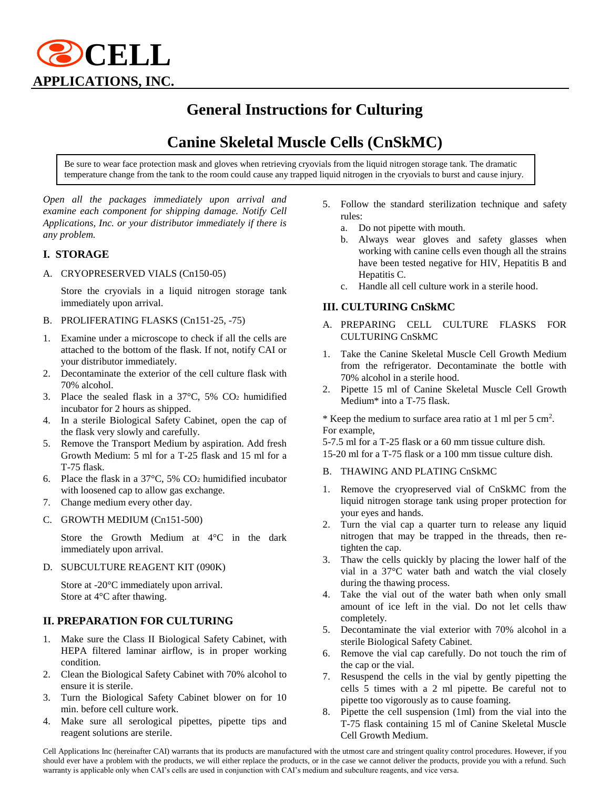

# **General Instructions for Culturing**

## **Canine Skeletal Muscle Cells (CnSkMC)**

Be sure to wear face protection mask and gloves when retrieving cryovials from the liquid nitrogen storage tank. The dramatic temperature change from the tank to the room could cause any trapped liquid nitrogen in the cryovials to burst and cause injury.

*Open all the packages immediately upon arrival and examine each component for shipping damage. Notify Cell Applications, Inc. or your distributor immediately if there is any problem.*

#### **I. STORAGE**

A. CRYOPRESERVED VIALS (Cn150-05)

Store the cryovials in a liquid nitrogen storage tank immediately upon arrival.

- B. PROLIFERATING FLASKS (Cn151-25, -75)
- 1. Examine under a microscope to check if all the cells are attached to the bottom of the flask. If not, notify CAI or your distributor immediately.
- 2. Decontaminate the exterior of the cell culture flask with 70% alcohol.
- 3. Place the sealed flask in a  $37^{\circ}$ C, 5% CO<sub>2</sub> humidified incubator for 2 hours as shipped.
- 4. In a sterile Biological Safety Cabinet, open the cap of the flask very slowly and carefully.
- 5. Remove the Transport Medium by aspiration. Add fresh Growth Medium: 5 ml for a T-25 flask and 15 ml for a T-75 flask.
- 6. Place the flask in a  $37^{\circ}$ C, 5% CO<sub>2</sub> humidified incubator with loosened cap to allow gas exchange.
- 7. Change medium every other day.
- C. GROWTH MEDIUM (Cn151-500)

Store the Growth Medium at 4°C in the dark immediately upon arrival.

D. SUBCULTURE REAGENT KIT (090K)

Store at -20°C immediately upon arrival. Store at 4°C after thawing.

#### **II. PREPARATION FOR CULTURING**

- 1. Make sure the Class II Biological Safety Cabinet, with HEPA filtered laminar airflow, is in proper working condition.
- 2. Clean the Biological Safety Cabinet with 70% alcohol to ensure it is sterile.
- 3. Turn the Biological Safety Cabinet blower on for 10 min. before cell culture work.
- 4. Make sure all serological pipettes, pipette tips and reagent solutions are sterile.
- 5. Follow the standard sterilization technique and safety rules:
	- a. Do not pipette with mouth.
	- b. Always wear gloves and safety glasses when working with canine cells even though all the strains have been tested negative for HIV, Hepatitis B and Hepatitis C.
	- c. Handle all cell culture work in a sterile hood.

#### **III. CULTURING CnSkMC**

- A. PREPARING CELL CULTURE FLASKS FOR CULTURING CnSkMC
- 1. Take the Canine Skeletal Muscle Cell Growth Medium from the refrigerator. Decontaminate the bottle with 70% alcohol in a sterile hood.
- 2. Pipette 15 ml of Canine Skeletal Muscle Cell Growth Medium\* into a T-75 flask.

\* Keep the medium to surface area ratio at 1 ml per 5 cm<sup>2</sup>. For example,

- 5-7.5 ml for a T-25 flask or a 60 mm tissue culture dish. 15-20 ml for a T-75 flask or a 100 mm tissue culture dish.
- B. THAWING AND PLATING CnSkMC
- 1. Remove the cryopreserved vial of CnSkMC from the liquid nitrogen storage tank using proper protection for your eyes and hands.
- 2. Turn the vial cap a quarter turn to release any liquid nitrogen that may be trapped in the threads, then retighten the cap.
- 3. Thaw the cells quickly by placing the lower half of the vial in a 37°C water bath and watch the vial closely during the thawing process.
- 4. Take the vial out of the water bath when only small amount of ice left in the vial. Do not let cells thaw completely.
- 5. Decontaminate the vial exterior with 70% alcohol in a sterile Biological Safety Cabinet.
- 6. Remove the vial cap carefully. Do not touch the rim of the cap or the vial.
- 7. Resuspend the cells in the vial by gently pipetting the cells 5 times with a 2 ml pipette. Be careful not to pipette too vigorously as to cause foaming.
- 8. Pipette the cell suspension (1ml) from the vial into the T-75 flask containing 15 ml of Canine Skeletal Muscle Cell Growth Medium.

Cell Applications Inc (hereinafter CAI) warrants that its products are manufactured with the utmost care and stringent quality control procedures. However, if you should ever have a problem with the products, we will either replace the products, or in the case we cannot deliver the products, provide you with a refund. Such warranty is applicable only when CAI's cells are used in conjunction with CAI's medium and subculture reagents, and vice versa.